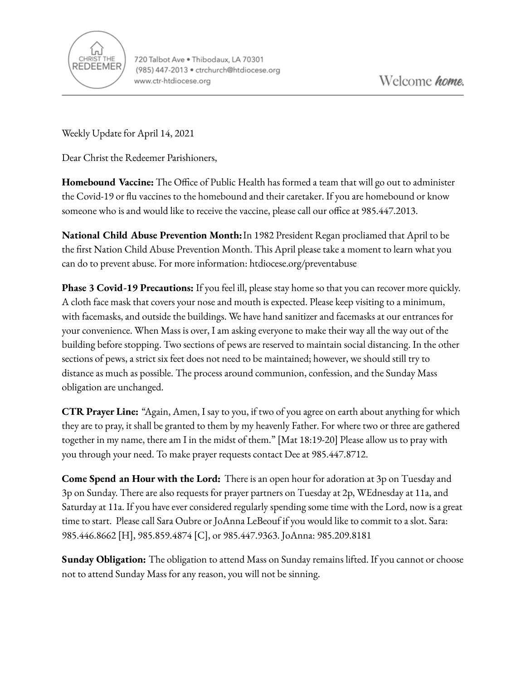

Weekly Update for April 14, 2021

Dear Christ the Redeemer Parishioners,

**Homebound Vaccine:** The Office of Public Health has formed a team that will go out to administer the Covid-19 or flu vaccines to the homebound and their caretaker. If you are homebound or know someone who is and would like to receive the vaccine, please call our office at 985.447.2013.

**National Child Abuse Prevention Month:**In 1982 President Regan procliamed that April to be the first Nation Child Abuse Prevention Month. This April please take a moment to learn what you can do to prevent abuse. For more information: htdiocese.org/preventabuse

**Phase 3 Covid-19 Precautions:** If you feel ill, please stay home so that you can recover more quickly. A cloth face mask that covers your nose and mouth is expected. Please keep visiting to a minimum, with facemasks, and outside the buildings. We have hand sanitizer and facemasks at our entrances for your convenience. When Mass is over, I am asking everyone to make their way all the way out of the building before stopping. Two sections of pews are reserved to maintain social distancing. In the other sections of pews, a strict six feet does not need to be maintained; however, we should still try to distance as much as possible. The process around communion, confession, and the Sunday Mass obligation are unchanged.

**CTR Prayer Line:** "Again, Amen, I say to you, if two of you agree on earth about anything for which they are to pray, it shall be granted to them by my heavenly Father. For where two or three are gathered together in my name, there am I in the midst of them." [Mat 18:19-20] Please allow us to pray with you through your need. To make prayer requests contact Dee at 985.447.8712.

**Come Spend an Hour with the Lord:** There is an open hour for adoration at 3p on Tuesday and 3p on Sunday. There are also requests for prayer partners on Tuesday at 2p, WEdnesday at 11a, and Saturday at 11a. If you have ever considered regularly spending some time with the Lord, now is a great time to start. Please call Sara Oubre or JoAnna LeBeouf if you would like to commit to a slot. Sara: 985.446.8662 [H], 985.859.4874 [C], or 985.447.9363. JoAnna: 985.209.8181

**Sunday Obligation:** The obligation to attend Mass on Sunday remains lifted. If you cannot or choose not to attend Sunday Mass for any reason, you will not be sinning.